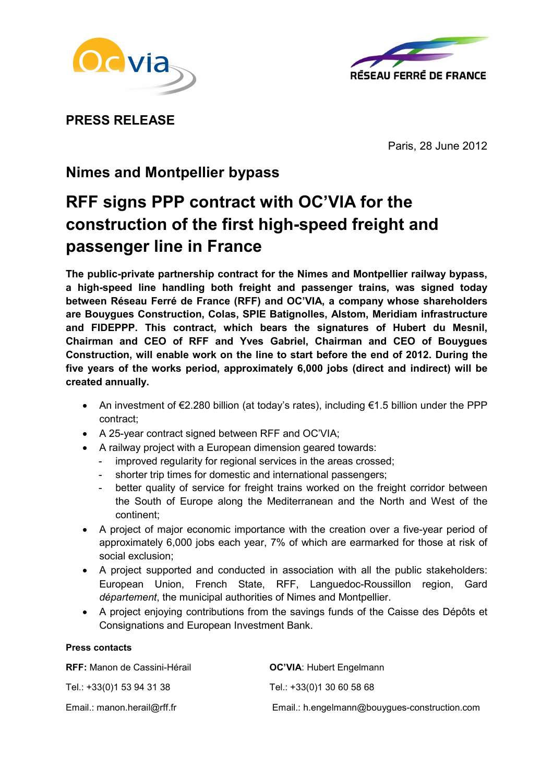



PRESS RELEASE

Paris, 28 June 2012

# Nimes and Montpellier bypass

# RFF signs PPP contract with OC'VIA for the construction of the first high-speed freight and passenger line in France

The public-private partnership contract for the Nimes and Montpellier railway bypass, a high-speed line handling both freight and passenger trains, was signed today between Réseau Ferré de France (RFF) and OC'VIA, a company whose shareholders are Bouygues Construction, Colas, SPIE Batignolles, Alstom, Meridiam infrastructure and FIDEPPP. This contract, which bears the signatures of Hubert du Mesnil, Chairman and CEO of RFF and Yves Gabriel, Chairman and CEO of Bouygues Construction, will enable work on the line to start before the end of 2012. During the five years of the works period, approximately 6,000 jobs (direct and indirect) will be created annually.

- An investment of €2.280 billion (at today's rates), including €1.5 billion under the PPP contract;
- A 25-year contract signed between RFF and OC'VIA;
- A railway project with a European dimension geared towards:
	- improved regularity for regional services in the areas crossed;
	- shorter trip times for domestic and international passengers;
	- better quality of service for freight trains worked on the freight corridor between the South of Europe along the Mediterranean and the North and West of the continent;
- A project of major economic importance with the creation over a five-year period of approximately 6,000 jobs each year, 7% of which are earmarked for those at risk of social exclusion;
- A project supported and conducted in association with all the public stakeholders: European Union, French State, RFF, Languedoc-Roussillon region, Gard département, the municipal authorities of Nimes and Montpellier.
- A project enjoying contributions from the savings funds of the Caisse des Dépôts et Consignations and European Investment Bank.

## Press contacts

| <b>RFF:</b> Manon de Cassini-Hérail | <b>OC'VIA: Hubert Engelmann</b>               |
|-------------------------------------|-----------------------------------------------|
| Tel.: +33(0)1 53 94 31 38           | Tel.: +33(0)1 30 60 58 68                     |
| Email.: manon.herail@rff.fr         | Email.: h.engelmann@bouygues-construction.com |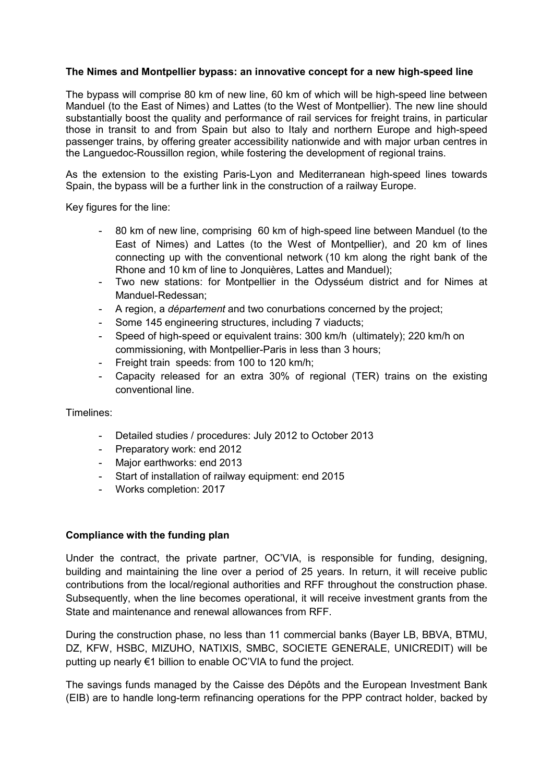### The Nimes and Montpellier bypass: an innovative concept for a new high-speed line

The bypass will comprise 80 km of new line, 60 km of which will be high-speed line between Manduel (to the East of Nimes) and Lattes (to the West of Montpellier). The new line should substantially boost the quality and performance of rail services for freight trains, in particular those in transit to and from Spain but also to Italy and northern Europe and high-speed passenger trains, by offering greater accessibility nationwide and with major urban centres in the Languedoc-Roussillon region, while fostering the development of regional trains.

As the extension to the existing Paris-Lyon and Mediterranean high-speed lines towards Spain, the bypass will be a further link in the construction of a railway Europe.

Key figures for the line:

- 80 km of new line, comprising 60 km of high-speed line between Manduel (to the East of Nimes) and Lattes (to the West of Montpellier), and 20 km of lines connecting up with the conventional network (10 km along the right bank of the Rhone and 10 km of line to Jonquières, Lattes and Manduel);
- Two new stations: for Montpellier in the Odysséum district and for Nimes at Manduel-Redessan;
- A region, a *département* and two conurbations concerned by the project;
- Some 145 engineering structures, including 7 viaducts;
- Speed of high-speed or equivalent trains: 300 km/h (ultimately); 220 km/h on commissioning, with Montpellier-Paris in less than 3 hours;
- Freight train speeds: from 100 to 120 km/h;
- Capacity released for an extra 30% of regional (TER) trains on the existing conventional line.

Timelines:

- Detailed studies / procedures: July 2012 to October 2013
- Preparatory work: end 2012
- Major earthworks: end 2013
- Start of installation of railway equipment: end 2015
- Works completion: 2017

#### Compliance with the funding plan

Under the contract, the private partner, OC'VIA, is responsible for funding, designing, building and maintaining the line over a period of 25 years. In return, it will receive public contributions from the local/regional authorities and RFF throughout the construction phase. Subsequently, when the line becomes operational, it will receive investment grants from the State and maintenance and renewal allowances from RFF.

During the construction phase, no less than 11 commercial banks (Bayer LB, BBVA, BTMU, DZ, KFW, HSBC, MIZUHO, NATIXIS, SMBC, SOCIETE GENERALE, UNICREDIT) will be putting up nearly €1 billion to enable OC'VIA to fund the project.

The savings funds managed by the Caisse des Dépôts and the European Investment Bank (EIB) are to handle long-term refinancing operations for the PPP contract holder, backed by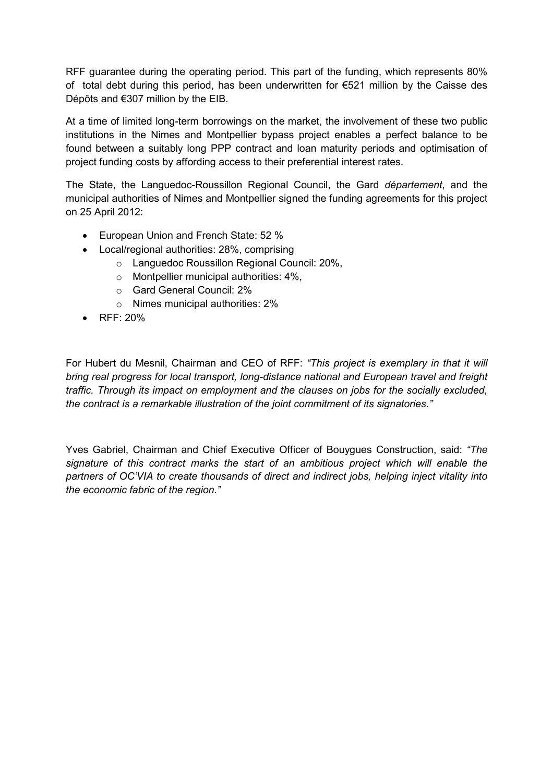RFF guarantee during the operating period. This part of the funding, which represents 80% of total debt during this period, has been underwritten for  $\epsilon$ 521 million by the Caisse des Dépôts and €307 million by the EIB.

At a time of limited long-term borrowings on the market, the involvement of these two public institutions in the Nimes and Montpellier bypass project enables a perfect balance to be found between a suitably long PPP contract and loan maturity periods and optimisation of project funding costs by affording access to their preferential interest rates.

The State, the Languedoc-Roussillon Regional Council, the Gard département, and the municipal authorities of Nimes and Montpellier signed the funding agreements for this project on 25 April 2012:

- European Union and French State: 52 %
- Local/regional authorities: 28%, comprising
	- o Languedoc Roussillon Regional Council: 20%,
	- $\circ$  Montpellier municipal authorities: 4%.
	- o Gard General Council: 2%
	- o Nimes municipal authorities: 2%
- RFF: 20%

For Hubert du Mesnil, Chairman and CEO of RFF: "This project is exemplary in that it will bring real progress for local transport, long-distance national and European travel and freight traffic. Through its impact on employment and the clauses on jobs for the socially excluded, the contract is a remarkable illustration of the joint commitment of its signatories."

Yves Gabriel, Chairman and Chief Executive Officer of Bouygues Construction, said: "The signature of this contract marks the start of an ambitious project which will enable the partners of OC'VIA to create thousands of direct and indirect jobs, helping inject vitality into the economic fabric of the region."